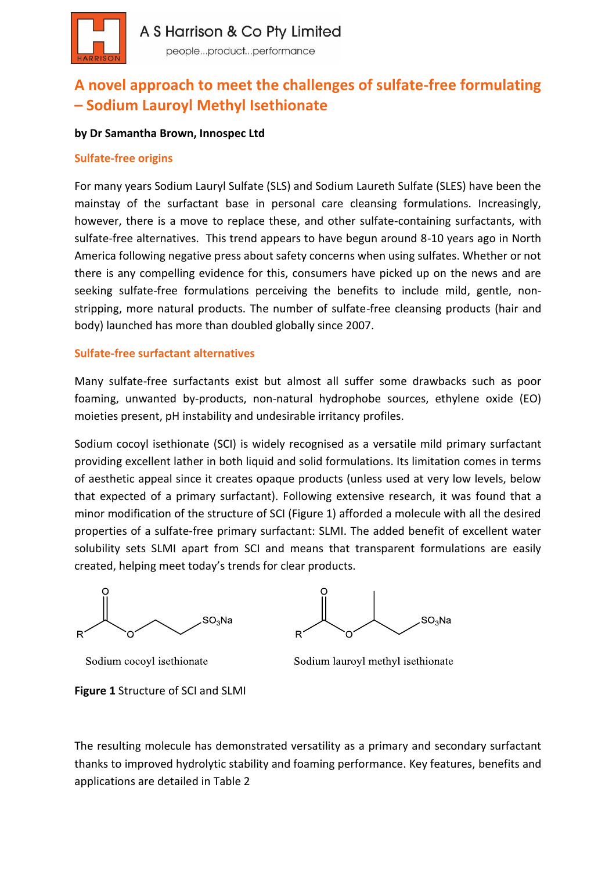

# **A novel approach to meet the challenges of sulfate-free formulating – Sodium Lauroyl Methyl Isethionate**

#### **by Dr Samantha Brown, Innospec Ltd**

#### **Sulfate-free origins**

For many years Sodium Lauryl Sulfate (SLS) and Sodium Laureth Sulfate (SLES) have been the mainstay of the surfactant base in personal care cleansing formulations. Increasingly, however, there is a move to replace these, and other sulfate-containing surfactants, with sulfate-free alternatives. This trend appears to have begun around 8-10 years ago in North America following negative press about safety concerns when using sulfates. Whether or not there is any compelling evidence for this, consumers have picked up on the news and are seeking sulfate-free formulations perceiving the benefits to include mild, gentle, nonstripping, more natural products. The number of sulfate-free cleansing products (hair and body) launched has more than doubled globally since 2007.

#### **Sulfate-free surfactant alternatives**

Many sulfate-free surfactants exist but almost all suffer some drawbacks such as poor foaming, unwanted by-products, non-natural hydrophobe sources, ethylene oxide (EO) moieties present, pH instability and undesirable irritancy profiles.

Sodium cocoyl isethionate (SCI) is widely recognised as a versatile mild primary surfactant providing excellent lather in both liquid and solid formulations. Its limitation comes in terms of aesthetic appeal since it creates opaque products (unless used at very low levels, below that expected of a primary surfactant). Following extensive research, it was found that a minor modification of the structure of SCI (Figure 1) afforded a molecule with all the desired properties of a sulfate-free primary surfactant: SLMI. The added benefit of excellent water solubility sets SLMI apart from SCI and means that transparent formulations are easily created, helping meet today's trends for clear products.



Sodium cocoyl isethionate

 $SO<sub>3</sub>$ Na

Sodium lauroyl methyl isethionate

**Figure 1** Structure of SCI and SLMI

The resulting molecule has demonstrated versatility as a primary and secondary surfactant thanks to improved hydrolytic stability and foaming performance. Key features, benefits and applications are detailed in Table 2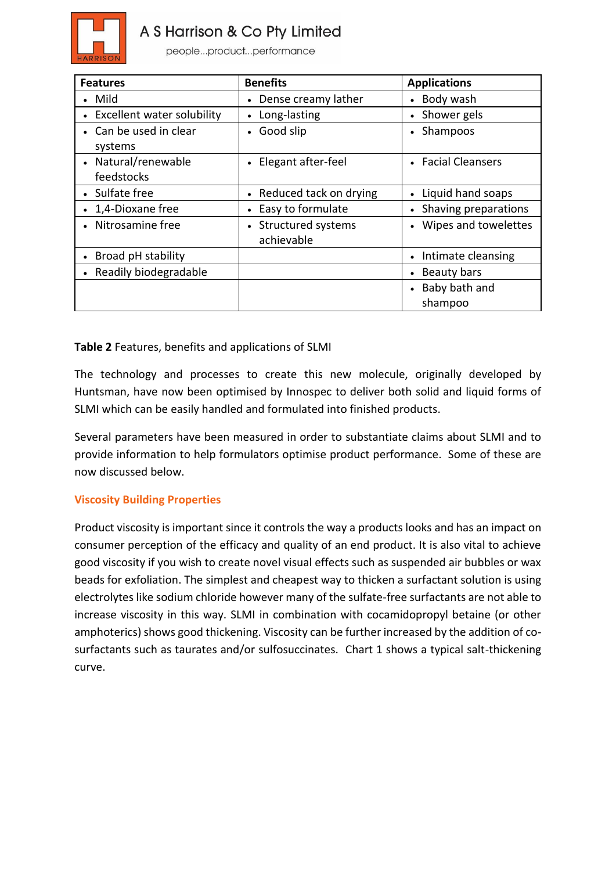

# A S Harrison & Co Pty Limited

people...product...performance

| <b>Features</b>              | <b>Benefits</b>        | <b>Applications</b>    |
|------------------------------|------------------------|------------------------|
| • Mild                       | Dense creamy lather    | Body wash              |
| • Excellent water solubility | Long-lasting           | Shower gels            |
| • Can be used in clear       | Good slip              | Shampoos               |
| systems                      |                        |                        |
| • Natural/renewable          | Elegant after-feel     | • Facial Cleansers     |
| feedstocks                   |                        |                        |
| • Sulfate free               | Reduced tack on drying | Liquid hand soaps      |
| • 1,4-Dioxane free           | Easy to formulate      | • Shaving preparations |
| • Nitrosamine free           | Structured systems     | • Wipes and towelettes |
|                              | achievable             |                        |
| • Broad pH stability         |                        | Intimate cleansing     |
| • Readily biodegradable      |                        | Beauty bars            |
|                              |                        | Baby bath and          |
|                              |                        | shampoo                |

## **Table 2** Features, benefits and applications of SLMI

The technology and processes to create this new molecule, originally developed by Huntsman, have now been optimised by Innospec to deliver both solid and liquid forms of SLMI which can be easily handled and formulated into finished products.

Several parameters have been measured in order to substantiate claims about SLMI and to provide information to help formulators optimise product performance. Some of these are now discussed below.

## **Viscosity Building Properties**

Product viscosity is important since it controls the way a products looks and has an impact on consumer perception of the efficacy and quality of an end product. It is also vital to achieve good viscosity if you wish to create novel visual effects such as suspended air bubbles or wax beads for exfoliation. The simplest and cheapest way to thicken a surfactant solution is using electrolytes like sodium chloride however many of the sulfate-free surfactants are not able to increase viscosity in this way. SLMI in combination with cocamidopropyl betaine (or other amphoterics) shows good thickening. Viscosity can be further increased by the addition of cosurfactants such as taurates and/or sulfosuccinates. Chart 1 shows a typical salt-thickening curve.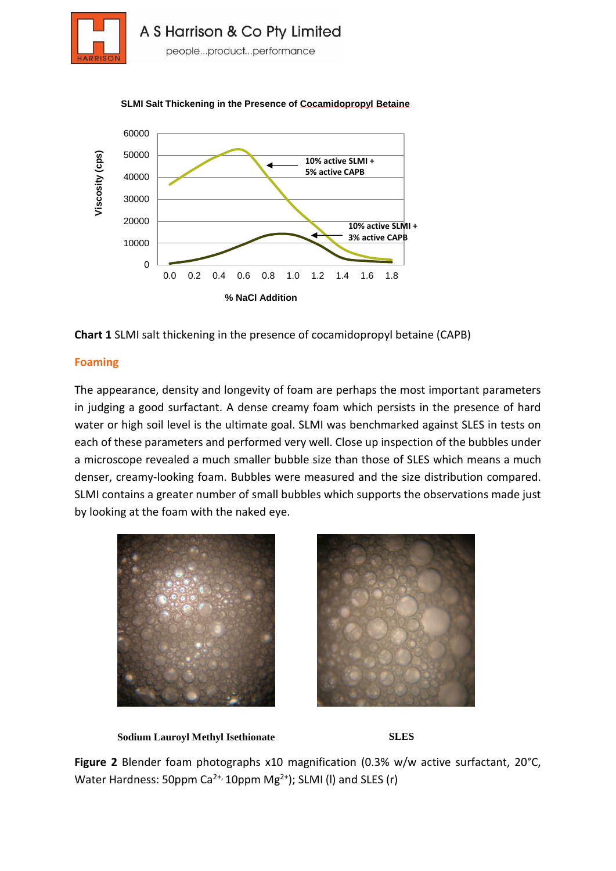



#### **SLMI Salt Thickening in the Presence of Cocamidopropyl Betaine**



#### **Foaming**

The appearance, density and longevity of foam are perhaps the most important parameters in judging a good surfactant. A dense creamy foam which persists in the presence of hard water or high soil level is the ultimate goal. SLMI was benchmarked against SLES in tests on each of these parameters and performed very well. Close up inspection of the bubbles under a microscope revealed a much smaller bubble size than those of SLES which means a much denser, creamy-looking foam. Bubbles were measured and the size distribution compared. SLMI contains a greater number of small bubbles which supports the observations made just by looking at the foam with the naked eye.







**Figure 2** Blender foam photographs x10 magnification (0.3% w/w active surfactant, 20°C, Water Hardness: 50ppm  $Ca^{2+}$ , 10ppm  $Mg^{2+}$ ); SLMI (I) and SLES (r)